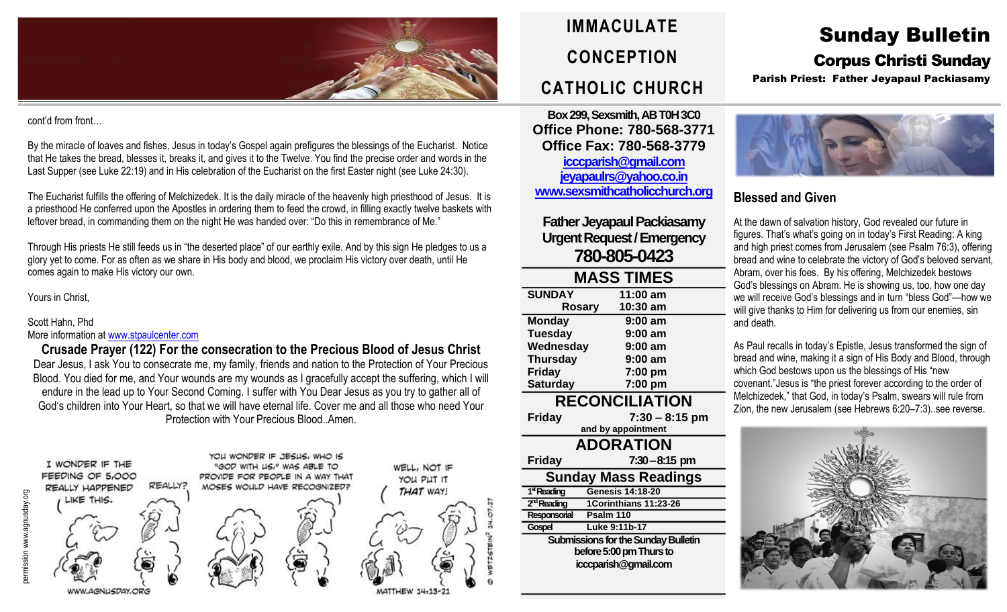

#### cont'd from front…

By the miracle of loaves and fishes, Jesus in today's Gospel again prefigures the blessings of the Eucharist. Notice that He takes the bread, blesses it, breaks it, and gives it to the Twelve. You find the precise order and words in the Last Supper (see Luke 22:19) and in His celebration of the Eucharist on the first Easter night (see Luke 24:30).

The Eucharist fulfills the offering of Melchizedek. It is the daily miracle of the heavenly high priesthood of Jesus. It is a priesthood He conferred upon the Apostles in ordering them to feed the crowd, in filling exactly twelve baskets with leftover bread, in commanding them on the night He was handed over: "Do this in remembrance of Me."

Through His priests He still feeds us in "the deserted place" of our earthly exile. And by this sign He pledges to us a glory yet to come. For as often as we share in His body and blood, we proclaim His victory over death, until He comes again to make His victory our own.

#### Yours in Christ,

## Scott Hahn, Phd

#### More information at [www.stpaulcenter.com](http://www.stpaulcenter.com/)

**Crusade Prayer (122) For the consecration to the Precious Blood of Jesus Christ** Dear Jesus, I ask You to consecrate me, my family, friends and nation to the Protection of Your Precious Blood. You died for me, and Your wounds are my wounds as I gracefully accept the suffering, which I will endure in the lead up to Your Second Coming. I suffer with You Dear Jesus as you try to gather all of God's children into Your Heart, so that we will have eternal life. Cover me and all those who need Your Protection with Your Precious Blood. Amen.





**Box 299, Sexsmith, AB T0H 3C0 Office Phone: 780-568-3771 Office Fax: 780-568-3779 [icccparish@gmail.com](mailto:icccparish@gmail.com) [jeyapaulrs@yahoo.co.in](mailto:jeyapaulrs@yahoo.co.in) [www.sexsmithcatholicchurch.org](http://www.sexsmithcatholicchurch.org/)**

## **Father Jeyapaul Packiasamy Urgent Request/Emergency 780-805-0423**

| <b>MASS TIMES</b>           |                         |  |  |  |
|-----------------------------|-------------------------|--|--|--|
| <b>SUNDAY</b>               | 11:00 am                |  |  |  |
| Rosary                      | 10:30 am                |  |  |  |
| <b>Monday</b>               | $9:00$ am               |  |  |  |
| <b>Tuesday</b>              | $9:00$ am               |  |  |  |
| Wednesday                   | $9:00$ am               |  |  |  |
| <b>Thursday</b>             | $9:00$ am               |  |  |  |
| Friday                      | 7:00 pm                 |  |  |  |
| <b>Saturday</b>             | 7:00 pm                 |  |  |  |
| <b>RECONCILIATION</b>       |                         |  |  |  |
| <b>Friday</b>               | $7:30 - 8:15$ pm        |  |  |  |
| and by appointment          |                         |  |  |  |
| <b>ADORATION</b>            |                         |  |  |  |
| <b>Friday</b>               | $7:30 - 8:15$ pm        |  |  |  |
| <b>Sunday Mass Readings</b> |                         |  |  |  |
| 1 <sup>st</sup> Reading     | <b>Genesis 14:18-20</b> |  |  |  |



 $14.13 - 2$ 

# Sunday Bulletin

## Corpus Christi Sunday

Parish Priest: Father Jeyapaul Packiasamy



## **Blessed and Given**

At the dawn of salvation history, God revealed our future in figures. That's what's going on in today's First Reading: A king and high priest comes from Jerusalem (see Psalm 76:3), offering bread and wine to celebrate the victory of God's beloved servant, Abram, over his foes. By his offering, Melchizedek bestows God's blessings on Abram. He is showing us, too, how one day we will receive God's blessings and in turn "bless God"—how we will give thanks to Him for delivering us from our enemies, sin and death.

As Paul recalls in today's Epistle, Jesus transformed the sign of bread and wine, making it a sign of His Body and Blood, through which God bestows upon us the blessings of His "new covenant."Jesus is "the priest forever according to the order of Melchizedek," that God, in today's Psalm, swears will rule from Zion, the new Jerusalem (see Hebrews 6:20–7:3)..see reverse.